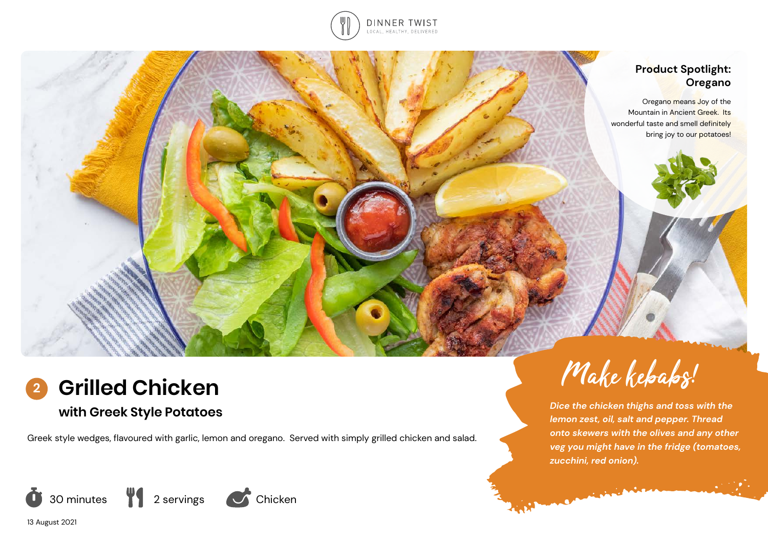

# **Product Spotlight: Oregano**

Oregano means Joy of the Mountain in Ancient Greek. Its wonderful taste and smell definitely bring joy to our potatoes!



# **with Greek Style Potatoes**

Greek style wedges, flavoured with garlic, lemon and oregano. Served with simply grilled chicken and salad.







Companies of the Company

*Dice the chicken thighs and toss with the lemon zest, oil, salt and pepper. Thread onto skewers with the olives and any other veg you might have in the fridge (tomatoes, zucchini, red onion).*

13 August 2021